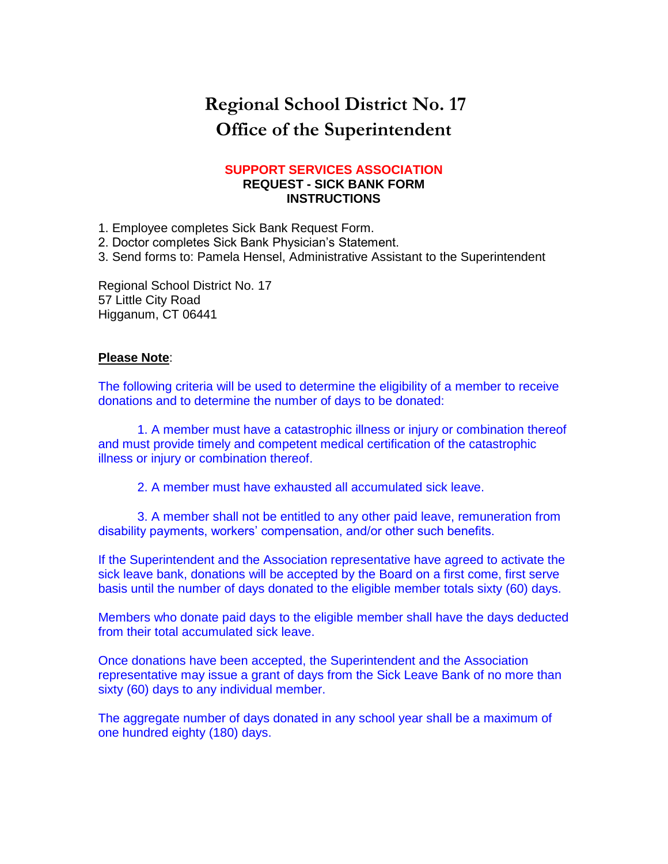## **Regional School District No. 17 Office of the Superintendent**

#### **SUPPORT SERVICES ASSOCIATION REQUEST - SICK BANK FORM INSTRUCTIONS**

1. Employee completes Sick Bank Request Form.

2. Doctor completes Sick Bank Physician's Statement.

3. Send forms to: Pamela Hensel, Administrative Assistant to the Superintendent

Regional School District No. 17 57 Little City Road Higganum, CT 06441

#### **Please Note**:

The following criteria will be used to determine the eligibility of a member to receive donations and to determine the number of days to be donated:

1. A member must have a catastrophic illness or injury or combination thereof and must provide timely and competent medical certification of the catastrophic illness or injury or combination thereof.

2. A member must have exhausted all accumulated sick leave.

3. A member shall not be entitled to any other paid leave, remuneration from disability payments, workers' compensation, and/or other such benefits.

If the Superintendent and the Association representative have agreed to activate the sick leave bank, donations will be accepted by the Board on a first come, first serve basis until the number of days donated to the eligible member totals sixty (60) days.

Members who donate paid days to the eligible member shall have the days deducted from their total accumulated sick leave.

Once donations have been accepted, the Superintendent and the Association representative may issue a grant of days from the Sick Leave Bank of no more than sixty (60) days to any individual member.

The aggregate number of days donated in any school year shall be a maximum of one hundred eighty (180) days.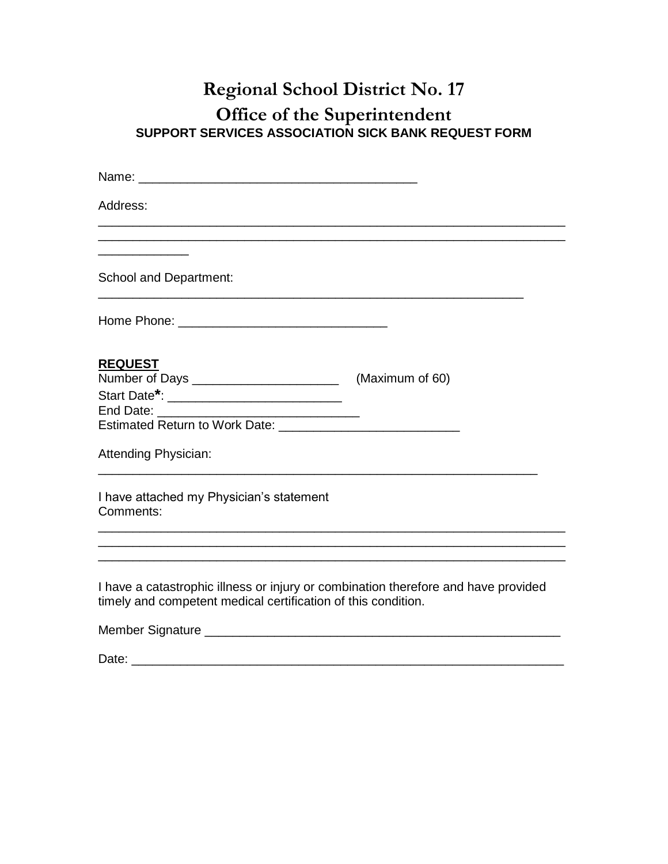# **Regional School District No. 17**

### **Office of the Superintendent SUPPORT SERVICES ASSOCIATION SICK BANK REQUEST FORM**

| Address:                                                                                                                                            |  |
|-----------------------------------------------------------------------------------------------------------------------------------------------------|--|
| <b>School and Department:</b>                                                                                                                       |  |
|                                                                                                                                                     |  |
|                                                                                                                                                     |  |
| <b>REQUEST</b>                                                                                                                                      |  |
| Start Date <sup>*</sup> : ______________________________                                                                                            |  |
| Attending Physician:                                                                                                                                |  |
| I have attached my Physician's statement<br>Comments:                                                                                               |  |
|                                                                                                                                                     |  |
| I have a catastrophic illness or injury or combination therefore and have provided<br>timely and competent medical certification of this condition. |  |
|                                                                                                                                                     |  |
| Date:                                                                                                                                               |  |